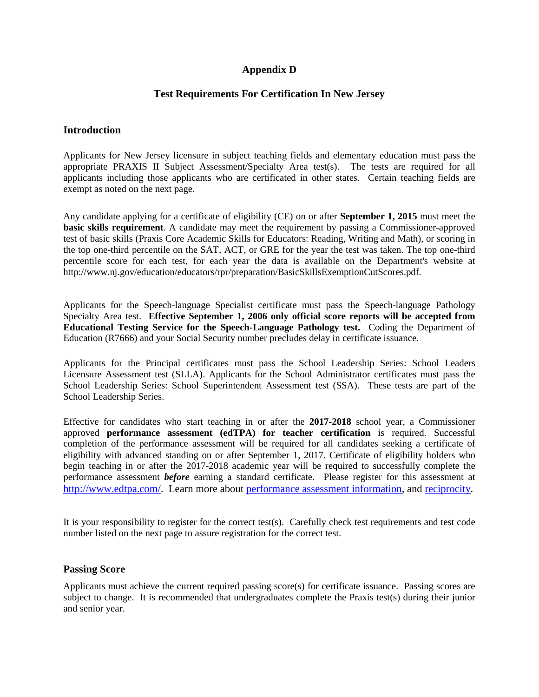# **Appendix D**

# **Test Requirements For Certification In New Jersey**

### **Introduction**

Applicants for New Jersey licensure in subject teaching fields and elementary education must pass the appropriate PRAXIS II Subject Assessment/Specialty Area test(s). The tests are required for all applicants including those applicants who are certificated in other states. Certain teaching fields are exempt as noted on the next page.

Any candidate applying for a certificate of eligibility (CE) on or after **September 1, 2015** must meet the **basic skills requirement**. A candidate may meet the requirement by passing a Commissioner-approved test of basic skills (Praxis Core Academic Skills for Educators: Reading, Writing and Math), or scoring in the top one-third percentile on the SAT, ACT, or GRE for the year the test was taken. The top one-third percentile score for each test, for each year the data is available on the Department's website at [http://www.nj.gov/education/educators/rpr/preparation/BasicSkillsExemptionCutScores.pdf.](http://www.state.nj.us/education/educators/rpr/preparation/BasicSkillsExemptionCutScores.pdf)

Applicants for the Speech-language Specialist certificate must pass the Speech-language Pathology Specialty Area test. **Effective September 1, 2006 only official score reports will be accepted from Educational Testing Service for the Speech-Language Pathology test.** Coding the Department of Education (R7666) and your Social Security number precludes delay in certificate issuance.

Applicants for the Principal certificates must pass the School Leadership Series: School Leaders Licensure Assessment test (SLLA). Applicants for the School Administrator certificates must pass the School Leadership Series: School Superintendent Assessment test (SSA). These tests are part of the School Leadership Series.

Effective for candidates who start teaching in or after the **2017-2018** school year, a Commissioner approved **performance assessment (edTPA) for teacher certification** is required. Successful completion of the performance assessment will be required for all candidates seeking a certificate of eligibility with advanced standing on or after September 1, 2017. Certificate of eligibility holders who begin teaching in or after the 2017-2018 academic year will be required to successfully complete the performance assessment *before* earning a standard certificate. Please register for this assessment at [http://www.edtpa.com/.](http://www.edtpa.com/) Learn more about [performance assessment information,](http://www.state.nj.us/education/educators/rpr/preparation/assessment/) and [reciprocity.](http://www.state.nj.us/education/educators/license/out/reciprocity.htm)

It is your responsibility to register for the correct test(s). Carefully check test requirements and test code number listed on the next page to assure registration for the correct test.

### **Passing Score**

Applicants must achieve the current required passing score(s) for certificate issuance. Passing scores are subject to change. It is recommended that undergraduates complete the Praxis test(s) during their junior and senior year.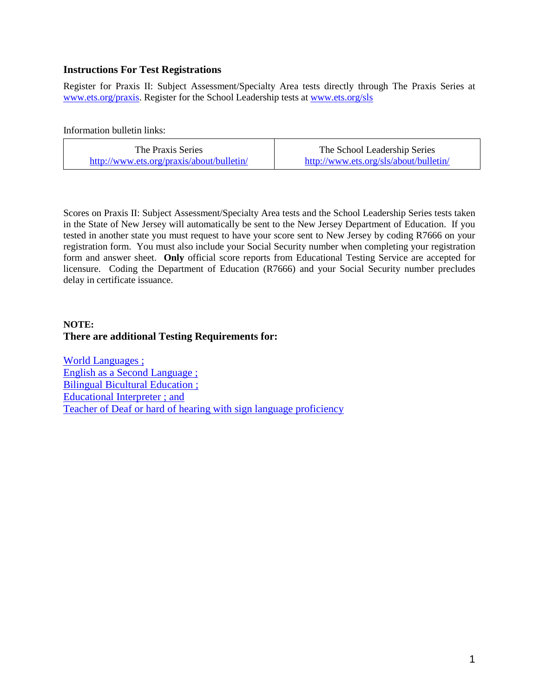## **Instructions For Test Registrations**

Register for Praxis II: Subject Assessment/Specialty Area tests directly through The Praxis Series at [www.ets.org/praxis.](http://www.ets.org/praxis) Register for the School Leadership tests a[t www.ets.org/sls](http://www.ets.org/sls)

Information bulletin links:

| The Praxis Series                         | The School Leadership Series           |  |
|-------------------------------------------|----------------------------------------|--|
| http://www.ets.org/praxis/about/bulletin/ | http://www.ets.org/sls/about/bulletin/ |  |

Scores on Praxis II: Subject Assessment/Specialty Area tests and the School Leadership Series tests taken in the State of New Jersey will automatically be sent to the New Jersey Department of Education. If you tested in another state you must request to have your score sent to New Jersey by coding R7666 on your registration form. You must also include your Social Security number when completing your registration form and answer sheet. **Only** official score reports from Educational Testing Service are accepted for licensure. Coding the Department of Education (R7666) and your Social Security number precludes delay in certificate issuance.

# **NOTE: There are additional Testing Requirements for:**

[World Languages](http://www.state.nj.us/cgi-bin/education/license/endorsement.pl?string=999&maxhits=1000&field=2) ; [English as a Second Language](http://www.state.nj.us/cgi-bin/education/license/endorsement.pl?string=999&maxhits=1000&field=2) ; [Bilingual Bicultural Education](http://www.state.nj.us/cgi-bin/education/license/endorsement.pl?string=999&maxhits=1000&field=2) ; [Educational Interpreter](http://www.state.nj.us/cgi-bin/education/license/endorsement.pl?string=999&maxhits=1000&field=2) ; and [Teacher of Deaf or hard of hearing with sign language proficiency](http://www.state.nj.us/cgi-bin/education/license/endorsement.pl?string=999&maxhits=1000&field=2)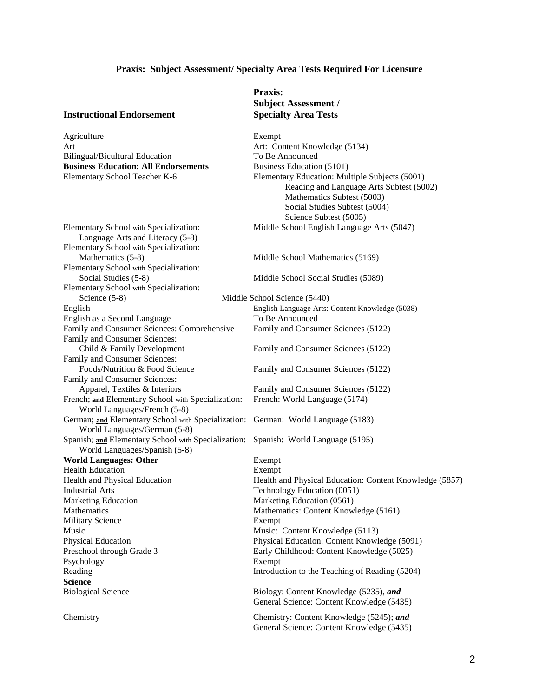### **Praxis: Subject Assessment/ Specialty Area Tests Required For Licensure**

### **Instructional Endorsement Specialty Area Tests**

Agriculture Exempt Art Art: Content Knowledge (5134)<br>Bilingual/Bicultural Education To Be Announced Bilingual/Bicultural Education **Business Education: All Endorsements** Business Education (5101)

Language Arts and Literacy (5-8) Elementary School with Specialization: Mathematics (5-8) Middle School Mathematics (5169) Elementary School with Specialization:<br>Social Studies (5-8) Elementary School with Specialization: Science (5-8) Middle School Science (5440) English English Language Arts: Content Knowledge (5038) English as a Second Language To Be Announced Family and Consumer Sciences: Comprehensive Family and Consumer Sciences (5122) Family and Consumer Sciences: Child & Family Development Family and Consumer Sciences (5122) Family and Consumer Sciences: Foods/Nutrition & Food Science Family and Consumer Sciences (5122) Family and Consumer Sciences: Apparel, Textiles & Interiors Family and Consumer Sciences (5122)<br>
ich; and Elementary School with Specialization: French: World Language (5174) French; and Elementary School with Specialization: World Languages/French (5-8) German; **and** Elementary School with Specialization: German: World Language (5183) World Languages/German (5-8) Spanish; **and** Elementary School with Specialization: Spanish: World Language (5195) World Languages/Spanish (5-8) **World Languages: Other** Exempt Health Education<br>
Health and Physical Education<br>
Health and Physical Education Industrial Arts Technology Education (0051) Marketing Education Marketing Education (0561) Mathematics Mathematics: Content Knowledge (5161) Military Science Exempt Music Music: Content Knowledge (5113) Physical Education Physical Education Physical Education: Content Knowledge (5091)<br>Preschool through Grade 3 Early Childhood: Content Knowledge (5025) Psychology Exempt Reading Introduction to the Teaching of Reading (5204) **Science** Biological Science Biology: Content Knowledge (5235), *and*

| Chemistry |
|-----------|
|           |

# **Praxis: Subject Assessment /**

Elementary School Teacher K-6 Elementary Education: Multiple Subjects (5001) Reading and Language Arts Subtest (5002) Mathematics Subtest (5003) Social Studies Subtest (5004) Science Subtest (5005) Elementary School with Specialization: Middle School English Language Arts (5047)

Middle School Social Studies (5089)

Health and Physical Education: Content Knowledge (5857) Early Childhood: Content Knowledge (5025) General Science: Content Knowledge (5435)

Chemistry Chemistry: Content Knowledge (5245); *and* General Science: Content Knowledge (5435)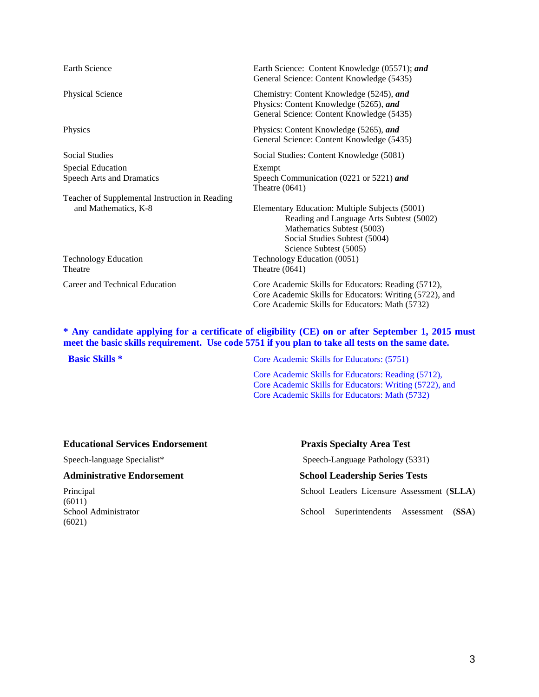| Earth Science: Content Knowledge (05571); and<br>General Science: Content Knowledge (5435)                                                                                          |
|-------------------------------------------------------------------------------------------------------------------------------------------------------------------------------------|
| Chemistry: Content Knowledge (5245), and<br>Physics: Content Knowledge (5265), and<br>General Science: Content Knowledge (5435)                                                     |
| Physics: Content Knowledge (5265), and<br>General Science: Content Knowledge (5435)                                                                                                 |
| Social Studies: Content Knowledge (5081)                                                                                                                                            |
| Exempt                                                                                                                                                                              |
| Speech Communication (0221 or 5221) and<br>Theatre $(0641)$                                                                                                                         |
|                                                                                                                                                                                     |
| Elementary Education: Multiple Subjects (5001)<br>Reading and Language Arts Subtest (5002)<br>Mathematics Subtest (5003)<br>Social Studies Subtest (5004)<br>Science Subtest (5005) |
| Technology Education (0051)<br>Theatre $(0641)$                                                                                                                                     |
| Core Academic Skills for Educators: Reading (5712),<br>Core Academic Skills for Educators: Writing (5722), and<br>Core Academic Skills for Educators: Math (5732)                   |
|                                                                                                                                                                                     |

### **\* Any candidate applying for a certificate of eligibility (CE) on or after September 1, 2015 must meet the basic skills requirement. Use code 5751 if you plan to take all tests on the same date.**

| <b>Basic Skills</b> * | Core Academic Skills for Educators: (5751)              |  |
|-----------------------|---------------------------------------------------------|--|
|                       | Core Academic Skills for Educators: Reading (5712),     |  |
|                       | Core Academic Skills for Educators: Writing (5722), and |  |
|                       | Core Academic Skills for Educators: Math (5732)         |  |
|                       |                                                         |  |

### **Educational Services Endorsement Praxis Specialty Area Test**

### **Administrative Endorsement School Leadership Series Tests**

 $(6011)$ (6021)

Speech-language Specialist\* Speech-Language Pathology (5331)

Principal School Leaders Licensure Assessment (**SLLA**)

School Administrator School Superintendents Assessment (**SSA**)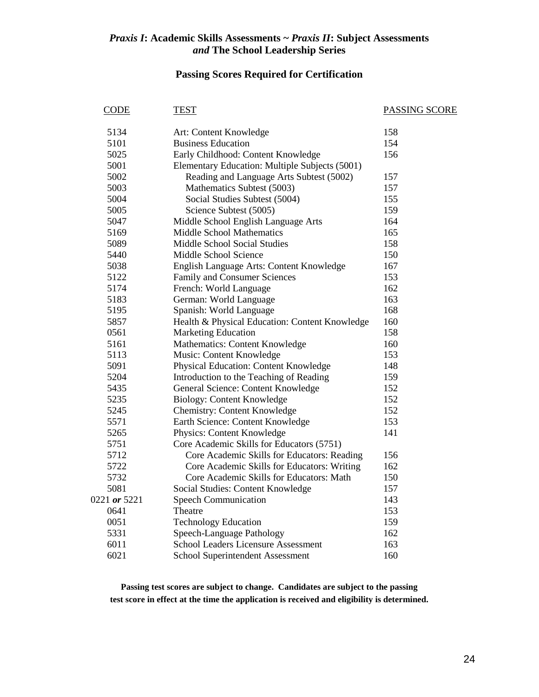# **Passing Scores Required for Certification**

| CODE         | <b>TEST</b>                                    | <b>PASSING SCORE</b> |
|--------------|------------------------------------------------|----------------------|
| 5134         | Art: Content Knowledge                         | 158                  |
| 5101         | <b>Business Education</b>                      | 154                  |
| 5025         | Early Childhood: Content Knowledge             | 156                  |
| 5001         | Elementary Education: Multiple Subjects (5001) |                      |
| 5002         | Reading and Language Arts Subtest (5002)       | 157                  |
| 5003         | Mathematics Subtest (5003)                     | 157                  |
| 5004         | Social Studies Subtest (5004)                  | 155                  |
| 5005         | Science Subtest (5005)                         | 159                  |
| 5047         | Middle School English Language Arts            | 164                  |
| 5169         | <b>Middle School Mathematics</b>               | 165                  |
| 5089         | <b>Middle School Social Studies</b>            | 158                  |
| 5440         | Middle School Science                          | 150                  |
| 5038         | English Language Arts: Content Knowledge       | 167                  |
| 5122         | Family and Consumer Sciences                   | 153                  |
| 5174         | French: World Language                         | 162                  |
| 5183         | German: World Language                         | 163                  |
| 5195         | Spanish: World Language                        | 168                  |
| 5857         | Health & Physical Education: Content Knowledge | 160                  |
| 0561         | <b>Marketing Education</b>                     | 158                  |
| 5161         | Mathematics: Content Knowledge                 | 160                  |
| 5113         | Music: Content Knowledge                       | 153                  |
| 5091         | Physical Education: Content Knowledge          | 148                  |
| 5204         | Introduction to the Teaching of Reading        | 159                  |
| 5435         | General Science: Content Knowledge             | 152                  |
| 5235         | Biology: Content Knowledge                     | 152                  |
| 5245         | Chemistry: Content Knowledge                   | 152                  |
| 5571         | Earth Science: Content Knowledge               | 153                  |
| 5265         | Physics: Content Knowledge                     | 141                  |
| 5751         | Core Academic Skills for Educators (5751)      |                      |
| 5712         | Core Academic Skills for Educators: Reading    | 156                  |
| 5722         | Core Academic Skills for Educators: Writing    | 162                  |
| 5732         | Core Academic Skills for Educators: Math       | 150                  |
| 5081         | Social Studies: Content Knowledge              | 157                  |
| 0221 or 5221 | <b>Speech Communication</b>                    | 143                  |
| 0641         | Theatre                                        | 153                  |
| 0051         | <b>Technology Education</b>                    | 159                  |
| 5331         | Speech-Language Pathology                      | 162                  |
| 6011         | <b>School Leaders Licensure Assessment</b>     | 163                  |
| 6021         | School Superintendent Assessment               | 160                  |
|              |                                                |                      |

**Passing test scores are subject to change. Candidates are subject to the passing test score in effect at the time the application is received and eligibility is determined.**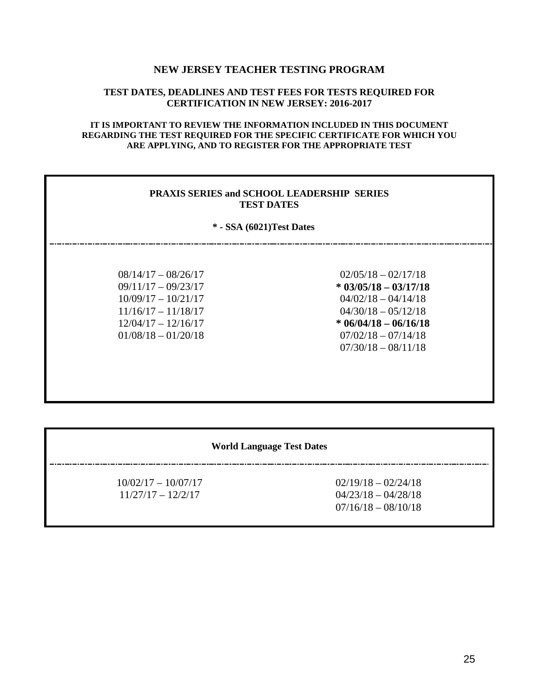### **NEW JERSEY TEACHER TESTING PROGRAM**

### **TEST DATES, DEADLINES AND TEST FEES FOR TESTS REQUIRED FOR CERTIFICATION IN NEW JERSEY: 2016-2017**

### **IT IS IMPORTANT TO REVIEW THE INFORMATION INCLUDED IN THIS DOCUMENT REGARDING THE TEST REQUIRED FOR THE SPECIFIC CERTIFICATE FOR WHICH YOU ARE APPLYING, AND TO REGISTER FOR THE APPROPRIATE TEST**

### **PRAXIS SERIES and SCHOOL LEADERSHIP SERIES TEST DATES**

### **\* - SSA (6021)Test Dates**

| $08/14/17 - 08/26/17$ |
|-----------------------|
| $09/11/17 - 09/23/17$ |
| $10/09/17 - 10/21/17$ |
| $11/16/17 - 11/18/17$ |
| $12/04/17 - 12/16/17$ |
| $01/08/18 - 01/20/18$ |

 $02/05/18 - 02/17/18$ **\* 03/05/18 – 03/17/18**  $04/02/18 - 04/14/18$  $04/30/18 - 05/12/18$ 12/04/17 – 12/16/17 **\* 06/04/18 – 06/16/18**  $07/02/18 - 07/14/18$  $07/30/18 - 08/11/18$ 

### **World Language Test Dates**

\_\_\_\_\_\_\_\_\_\_\_\_\_\_\_\_\_\_\_\_\_\_\_

 $10/02/17 - 10/07/17$  02/19/18 – 02/24/18  $11/27/17 - 12/2/17$  04/23/18 – 04/28/18 07/16/18 – 08/10/18